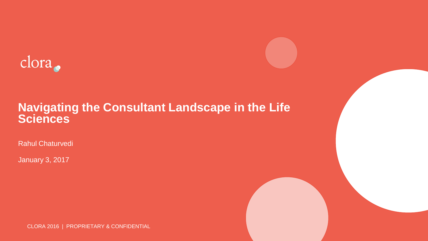

#### **Navigating the Consultant Landscape in the Life Sciences**

Rahul Chaturvedi

January 3, 2017

CLORA 2016 | PROPRIETARY & CONFIDENTIAL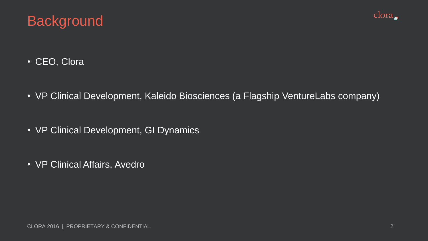



- CEO, Clora
- VP Clinical Development, Kaleido Biosciences (a Flagship VentureLabs company)
- VP Clinical Development, GI Dynamics
- VP Clinical Affairs, Avedro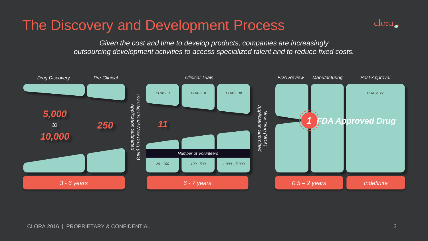## The Discovery and Development Process



*Given the cost and time to develop products, companies are increasingly outsourcing development activities to access specialized talent and to reduce fixed costs.*

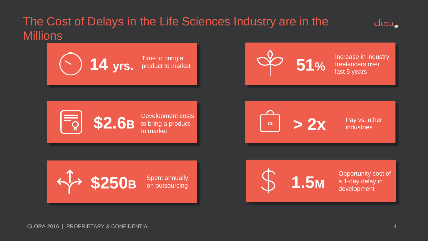## The Cost of Delays in the Life Sciences Industry are in the **Millions**



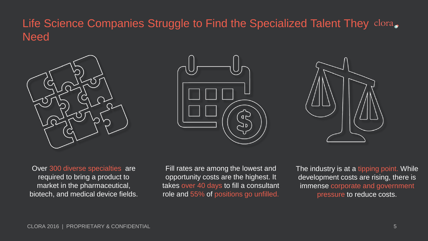### Life Science Companies Struggle to Find the Specialized Talent They clora. **Need**







Over 300 diverse specialties are required to bring a product to market in the pharmaceutical, biotech, and medical device fields.

Fill rates are among the lowest and opportunity costs are the highest. It takes over 40 days to fill a consultant role and 55% of positions go unfilled. The industry is at a tipping point. While development costs are rising, there is immense corporate and government pressure to reduce costs.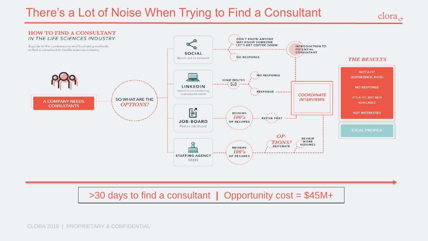## There's a Lot of Noise When Trying to Find a Consultant

 $\frac{1}{2}$ 



>30 days to find a consultant **|** Opportunity cost = \$45M+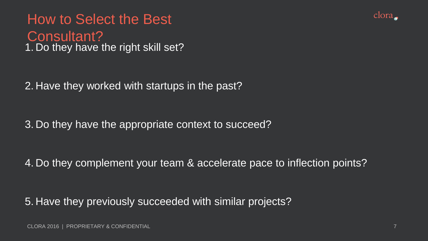



3. Do they have the appropriate context to succeed?

4. Do they complement your team & accelerate pace to inflection points?

5. Have they previously succeeded with similar projects?

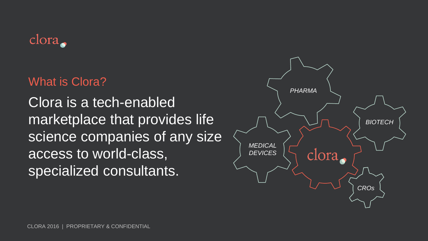

## What is Clora?

Clora is a tech-enabled marketplace that provides life science companies of any size access to world-class, specialized consultants.

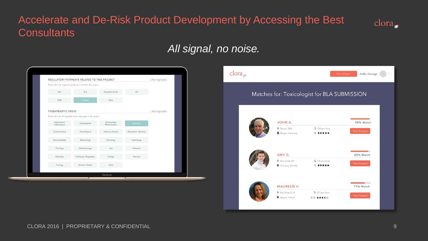### Accelerate and De-Risk Product Development by Accessing the Best **Consultants**



#### *All signal, no noise.*

|                             | REGULATORY PATHWAYS RELATED TO THIS PROJECT                        |                                 |                        | Not Applicable   |
|-----------------------------|--------------------------------------------------------------------|---------------------------------|------------------------|------------------|
|                             | Please select the regulatory pathway(s) related to this project.   |                                 |                        |                  |
| <b>IND</b>                  | <b>BLA</b>                                                         | Expanded Access                 | <b>IDE</b>             |                  |
| 510K                        | <b>CE Mark</b>                                                     | Other                           |                        |                  |
| <b>THERAPEAUTIC AREAS</b>   |                                                                    |                                 |                        | □ Not Applicable |
|                             | Please select the therapeautic area(s) that apply to this project. |                                 |                        |                  |
| Autoimmune/<br>Inflammatory | Cardiovascular                                                     | Dermatology/<br>Plastic Surgery | Endocrine              |                  |
| Gastrointestinal            | Hematological                                                      | Infectious Disease              | Metabolism / Nutrition |                  |
| Musculoskeletal             | Neonatology                                                        | Neurology                       | Nephrology             |                  |
| Oncology                    | Ophthalmology                                                      | Pain                            | Pediatrics             |                  |
| Psychiatry                  | Pulmonary / Respiratory                                            | Urology                         | Vaccines               |                  |
| Virology                    | Women's Health                                                     | Other                           |                        |                  |
|                             |                                                                    | MacBook                         |                        |                  |